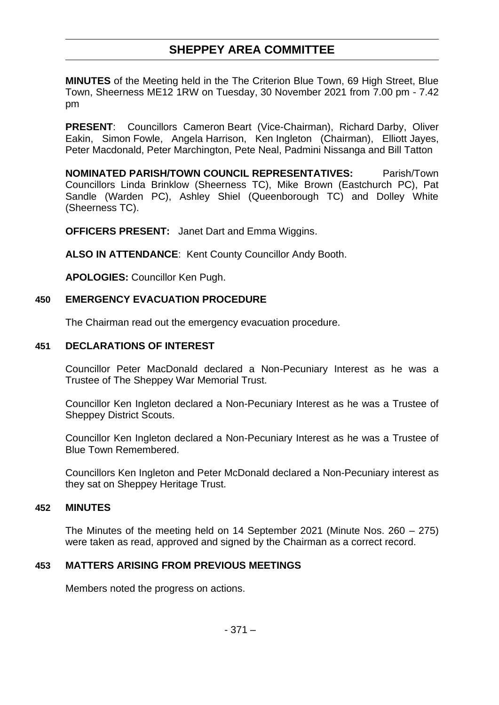# **SHEPPEY AREA COMMITTEE**

**MINUTES** of the Meeting held in the The Criterion Blue Town, 69 High Street, Blue Town, Sheerness ME12 1RW on Tuesday, 30 November 2021 from 7.00 pm - 7.42 pm

**PRESENT**: Councillors Cameron Beart (Vice-Chairman), Richard Darby, Oliver Eakin, Simon Fowle, Angela Harrison, Ken Ingleton (Chairman), Elliott Jayes, Peter Macdonald, Peter Marchington, Pete Neal, Padmini Nissanga and Bill Tatton

**NOMINATED PARISH/TOWN COUNCIL REPRESENTATIVES:** Parish/Town Councillors Linda Brinklow (Sheerness TC), Mike Brown (Eastchurch PC), Pat Sandle (Warden PC), Ashley Shiel (Queenborough TC) and Dolley White (Sheerness TC).

**OFFICERS PRESENT:** Janet Dart and Emma Wiggins.

**ALSO IN ATTENDANCE**: Kent County Councillor Andy Booth.

**APOLOGIES:** Councillor Ken Pugh.

## **450 EMERGENCY EVACUATION PROCEDURE**

The Chairman read out the emergency evacuation procedure.

## **451 DECLARATIONS OF INTEREST**

Councillor Peter MacDonald declared a Non-Pecuniary Interest as he was a Trustee of The Sheppey War Memorial Trust.

Councillor Ken Ingleton declared a Non-Pecuniary Interest as he was a Trustee of Sheppey District Scouts.

Councillor Ken Ingleton declared a Non-Pecuniary Interest as he was a Trustee of Blue Town Remembered.

Councillors Ken Ingleton and Peter McDonald declared a Non-Pecuniary interest as they sat on Sheppey Heritage Trust.

## **452 MINUTES**

The Minutes of the meeting held on 14 September 2021 (Minute Nos. 260 – 275) were taken as read, approved and signed by the Chairman as a correct record.

# **453 MATTERS ARISING FROM PREVIOUS MEETINGS**

Members noted the progress on actions.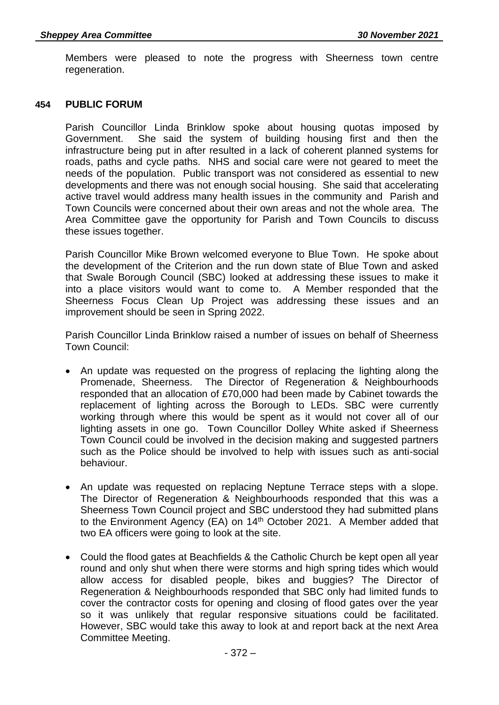Members were pleased to note the progress with Sheerness town centre regeneration.

#### **454 PUBLIC FORUM**

Parish Councillor Linda Brinklow spoke about housing quotas imposed by Government. She said the system of building housing first and then the infrastructure being put in after resulted in a lack of coherent planned systems for roads, paths and cycle paths. NHS and social care were not geared to meet the needs of the population. Public transport was not considered as essential to new developments and there was not enough social housing. She said that accelerating active travel would address many health issues in the community and Parish and Town Councils were concerned about their own areas and not the whole area. The Area Committee gave the opportunity for Parish and Town Councils to discuss these issues together.

Parish Councillor Mike Brown welcomed everyone to Blue Town. He spoke about the development of the Criterion and the run down state of Blue Town and asked that Swale Borough Council (SBC) looked at addressing these issues to make it into a place visitors would want to come to. A Member responded that the Sheerness Focus Clean Up Project was addressing these issues and an improvement should be seen in Spring 2022.

Parish Councillor Linda Brinklow raised a number of issues on behalf of Sheerness Town Council:

- An update was requested on the progress of replacing the lighting along the Promenade, Sheerness. The Director of Regeneration & Neighbourhoods responded that an allocation of £70,000 had been made by Cabinet towards the replacement of lighting across the Borough to LEDs. SBC were currently working through where this would be spent as it would not cover all of our lighting assets in one go. Town Councillor Dolley White asked if Sheerness Town Council could be involved in the decision making and suggested partners such as the Police should be involved to help with issues such as anti-social behaviour.
- An update was requested on replacing Neptune Terrace steps with a slope. The Director of Regeneration & Neighbourhoods responded that this was a Sheerness Town Council project and SBC understood they had submitted plans to the Environment Agency (EA) on 14<sup>th</sup> October 2021. A Member added that two EA officers were going to look at the site.
- Could the flood gates at Beachfields & the Catholic Church be kept open all year round and only shut when there were storms and high spring tides which would allow access for disabled people, bikes and buggies? The Director of Regeneration & Neighbourhoods responded that SBC only had limited funds to cover the contractor costs for opening and closing of flood gates over the year so it was unlikely that regular responsive situations could be facilitated. However, SBC would take this away to look at and report back at the next Area Committee Meeting.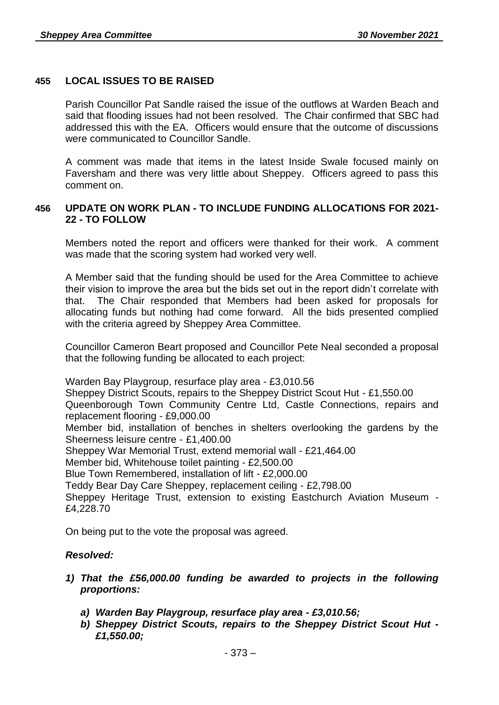## **455 LOCAL ISSUES TO BE RAISED**

Parish Councillor Pat Sandle raised the issue of the outflows at Warden Beach and said that flooding issues had not been resolved. The Chair confirmed that SBC had addressed this with the EA. Officers would ensure that the outcome of discussions were communicated to Councillor Sandle.

A comment was made that items in the latest Inside Swale focused mainly on Faversham and there was very little about Sheppey. Officers agreed to pass this comment on.

## **456 UPDATE ON WORK PLAN - TO INCLUDE FUNDING ALLOCATIONS FOR 2021- 22 - TO FOLLOW**

Members noted the report and officers were thanked for their work. A comment was made that the scoring system had worked very well.

A Member said that the funding should be used for the Area Committee to achieve their vision to improve the area but the bids set out in the report didn't correlate with that. The Chair responded that Members had been asked for proposals for allocating funds but nothing had come forward. All the bids presented complied with the criteria agreed by Sheppey Area Committee.

Councillor Cameron Beart proposed and Councillor Pete Neal seconded a proposal that the following funding be allocated to each project:

Warden Bay Playgroup, resurface play area - £3,010.56

Sheppey District Scouts, repairs to the Sheppey District Scout Hut - £1,550.00 Queenborough Town Community Centre Ltd, Castle Connections, repairs and replacement flooring - £9,000.00

Member bid, installation of benches in shelters overlooking the gardens by the Sheerness leisure centre - £1,400.00

Sheppey War Memorial Trust, extend memorial wall - £21,464.00

Member bid, Whitehouse toilet painting - £2,500.00

Blue Town Remembered, installation of lift - £2,000.00

Teddy Bear Day Care Sheppey, replacement ceiling - £2,798.00

Sheppey Heritage Trust, extension to existing Eastchurch Aviation Museum - £4,228.70

On being put to the vote the proposal was agreed.

## *Resolved:*

- *1) That the £56,000.00 funding be awarded to projects in the following proportions:*
	- *a) Warden Bay Playgroup, resurface play area - £3,010.56;*
	- *b) Sheppey District Scouts, repairs to the Sheppey District Scout Hut - £1,550.00;*